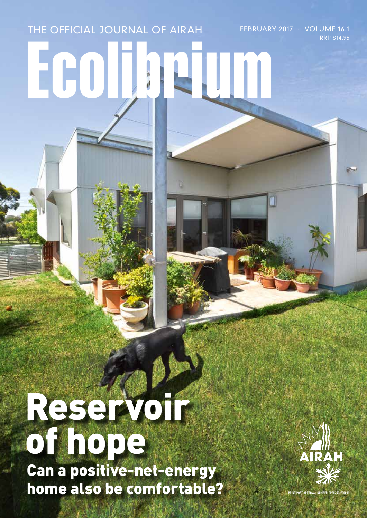# Ecolibrium THE OFFICIAL JOURNAL OF AIRAH FEBRUARY 2017 · VOLUME 16.1

## Reservoir of hope Can a positive-net-energy home also be comfortable?



RRP \$14.95

**POST APPROVAL NUMBER PP352532/0000**